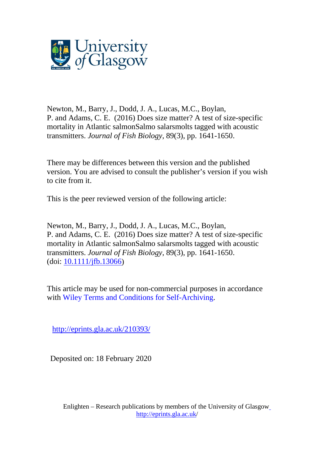

Newton, M., Barry, J., Dodd, J. A., Lucas, M.C., Boylan, P. and Adams, C. E. (2016) Does size matter? A test of size-specific mortality in Atlantic salmonSalmo salarsmolts tagged with acoustic transmitters. *Journal of Fish Biology*, 89(3), pp. 1641-1650.

There may be differences between this version and the published version. You are advised to consult the publisher's version if you wish to cite from it.

This is the peer reviewed version of the following article:

Newton, M., Barry, J., Dodd, J. A., Lucas, M.C., Boylan, P. and Adams, C. E. (2016) Does size matter? A test of size-specific mortality in Atlantic salmonSalmo salarsmolts tagged with acoustic transmitters. *Journal of Fish Biology*, 89(3), pp. 1641-1650. (doi: [10.1111/jfb.13066\)](http://dx.doi.org/10.1111/jfb.13066)

This article may be used for non-commercial purposes in accordance with Wiley Terms and Conditions for [Self-Archiving.](http://olabout.wiley.com/WileyCDA/Section/id-828039.html#terms)

[http://eprints.gla.ac.uk/210393/](http://eprints.gla.ac.uk/182495/) 

Deposited on: 18 February 2020

Enlighten – Research publications by members of the University of Glasgo[w](http://eprints.gla.ac.uk/) <http://eprints.gla.ac.uk/>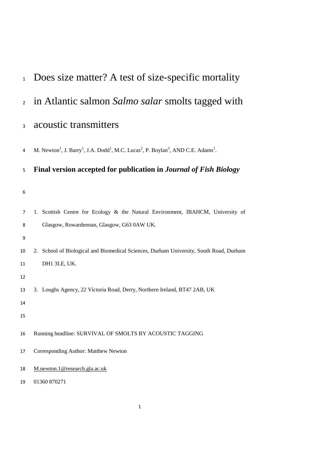| $\mathbf{1}$   | Does size matter? A test of size-specific mortality                                                                                                        |
|----------------|------------------------------------------------------------------------------------------------------------------------------------------------------------|
| $\overline{2}$ | in Atlantic salmon Salmo salar smolts tagged with                                                                                                          |
| 3              | acoustic transmitters                                                                                                                                      |
| 4              | M. Newton <sup>1</sup> , J. Barry <sup>1</sup> , J.A. Dodd <sup>1</sup> , M.C. Lucas <sup>2</sup> , P. Boylan <sup>3</sup> , AND C.E. Adams <sup>1</sup> . |
| 5              | Final version accepted for publication in Journal of Fish Biology                                                                                          |
| 6              |                                                                                                                                                            |
| 7<br>8         | 1. Scottish Centre for Ecology & the Natural Environment, IBAHCM, University of<br>Glasgow, Rowardennan, Glasgow, G63 0AW UK.                              |
| 9              |                                                                                                                                                            |
| 10             | 2. School of Biological and Biomedical Sciences, Durham University, South Road, Durham                                                                     |
| 11             | DH1 3LE, UK.                                                                                                                                               |
| 12<br>13       | 3. Loughs Agency, 22 Victoria Road, Derry, Northern Ireland, BT47 2AB, UK                                                                                  |
| 14             |                                                                                                                                                            |
| 15             |                                                                                                                                                            |
| 16             | Running headline: SURVIVAL OF SMOLTS BY ACOUSTIC TAGGING                                                                                                   |
| 17             | Corresponding Author: Matthew Newton                                                                                                                       |
| 18             | M.newton.1@research.gla.ac.uk                                                                                                                              |
| 19             | 01360 870271                                                                                                                                               |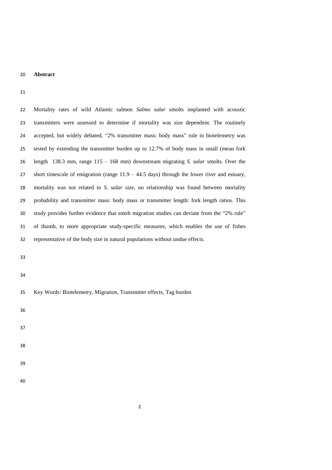## **Abstract**

| 22 | Mortality rates of wild Atlantic salmon Salmo salar smolts implanted with acoustic             |
|----|------------------------------------------------------------------------------------------------|
| 23 | transmitters were assessed to determine if mortality was size dependent. The routinely         |
| 24 | accepted, but widely debated, "2% transmitter mass: body mass" rule in biotelemetry was        |
| 25 | tested by extending the transmitter burden up to 12.7% of body mass in small (mean fork        |
| 26 | length 138.3 mm, range $115 - 168$ mm) downstream migrating S. salar smolts. Over the          |
| 27 | short timescale of emigration (range $11.9 - 44.5$ days) through the lower river and estuary,  |
| 28 | mortality was not related to S. <i>salar</i> size, no relationship was found between mortality |
| 29 | probability and transmitter mass: body mass or transmitter length: fork length ratios. This    |
| 30 | study provides further evidence that smolt migration studies can deviate from the "2% rule"    |
| 31 | of thumb, to more appropriate study-specific measures, which enables the use of fishes         |
| 32 | representative of the body size in natural populations without undue effects.                  |

- 
- 

| 35 |  |  | Key Words: Biotelemetry, Migration, Transmitter effects, Tag burden |  |
|----|--|--|---------------------------------------------------------------------|--|
|    |  |  |                                                                     |  |

- 
- 
- 
- 
- 
-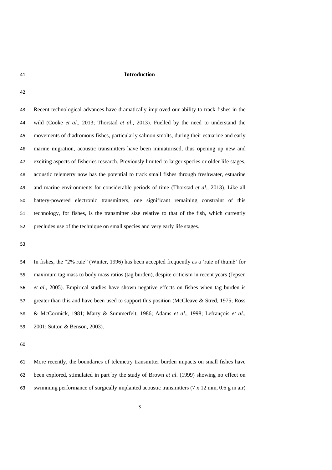#### **Introduction**

 Recent technological advances have dramatically improved our ability to track fishes in the wild (Cooke *et al*., 2013; Thorstad *et al*., 2013). Fuelled by the need to understand the movements of diadromous fishes, particularly salmon smolts, during their estuarine and early marine migration, acoustic transmitters have been miniaturised, thus opening up new and exciting aspects of fisheries research. Previously limited to larger species or older life stages, acoustic telemetry now has the potential to track small fishes through freshwater, estuarine and marine environments for considerable periods of time (Thorstad *et al*., 2013). Like all battery-powered electronic transmitters, one significant remaining constraint of this technology, for fishes, is the transmitter size relative to that of the fish, which currently precludes use of the technique on small species and very early life stages.

 In fishes, the "2% rule" (Winter, 1996) has been accepted frequently as a 'rule of thumb' for maximum tag mass to body mass ratios (tag burden), despite criticism in recent years (Jepsen *et al*., 2005). Empirical studies have shown negative effects on fishes when tag burden is greater than this and have been used to support this position (McCleave & Stred, 1975; Ross & McCormick, 1981; Marty & Summerfelt, 1986; Adams *et al*., 1998; Lefrançois *et al*., 2001; Sutton & Benson, 2003).

 More recently, the boundaries of telemetry transmitter burden impacts on small fishes have been explored, stimulated in part by the study of Brown *et al*. (1999) showing no effect on 63 swimming performance of surgically implanted acoustic transmitters  $(7 \times 12 \text{ mm}, 0.6 \text{ g} \text{ in air})$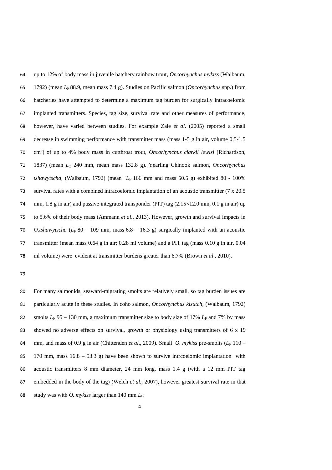up to 12% of body mass in juvenile hatchery rainbow trout, *Oncorhynchus mykiss* (Walbaum, 1792) (mean *L*F 88.9, mean mass 7.4 g). Studies on Pacific salmon (*Oncorhynchus* spp.) from hatcheries have attempted to determine a maximum tag burden for surgically intracoelomic implanted transmitters. Species, tag size, survival rate and other measures of performance, however, have varied between studies. For example Zale *et al*. (2005) reported a small decrease in swimming performance with transmitter mass (mass 1-5 g in air, volume 0.5-1.5 cm 3 ) of up to 4% body mass in cutthroat trout, *Oncorhynchus clarkii lewisi* (Richardson, 1837) (mean *L*<sup>T</sup> 240 mm, mean mass 132.8 g). Yearling Chinook salmon, *Oncorhynchus tshawytscha*, (Walbaum, 1792) (mean *L*F 166 mm and mass 50.5 g) exhibited 80 - 100% survival rates with a combined intracoelomic implantation of an acoustic transmitter (7 x 20.5 74 mm, 1.8 g in air) and passive integrated transponder (PIT) tag  $(2.15 \times 12.0 \text{ mm}, 0.1 \text{ g in air})$  up to 5.6% of their body mass (Ammann *et al*., 2013). However, growth and survival impacts in *O.tshawytscha* ( $L_F$  80 – 109 mm, mass 6.8 – 16.3 g) surgically implanted with an acoustic transmitter (mean mass 0.64 g in air; 0.28 ml volume) and a PIT tag (mass 0.10 g in air, 0.04 ml volume) were evident at transmitter burdens greater than 6.7% (Brown *et al*., 2010).

 For many salmonids, seaward-migrating smolts are relatively small, so tag burden issues are particularly acute in these studies. In coho salmon, *Oncorhynchus kisutch*, (Walbaum, 1792) 82 smolts  $L_F$  95 – 130 mm, a maximum transmitter size to body size of 17%  $L_F$  and 7% by mass showed no adverse effects on survival, growth or physiology using transmitters of 6 x 19 84 mm, and mass of 0.9 g in air (Chittenden *et al.*, 2009). Small *O. mykiss* pre-smolts ( $L_F$  110 – 170 mm, mass 16.8 – 53.3 g) have been shown to survive intrcoelomic implantation with acoustic transmitters 8 mm diameter, 24 mm long, mass 1.4 g (with a 12 mm PIT tag embedded in the body of the tag) (Welch *et al*., 2007), however greatest survival rate in that 88 study was with *O. mykiss* larger than 140 mm  $L_F$ .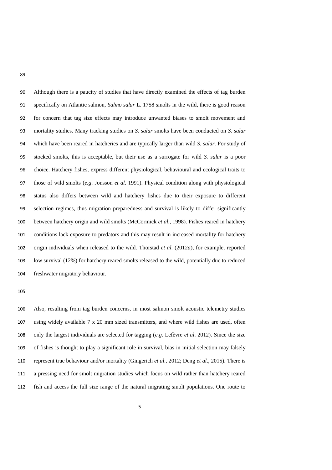Although there is a paucity of studies that have directly examined the effects of tag burden specifically on Atlantic salmon, *Salmo salar* L. 1758 smolts in the wild, there is good reason for concern that tag size effects may introduce unwanted biases to smolt movement and mortality studies. Many tracking studies on *S. salar* smolts have been conducted on *S. salar*  which have been reared in hatcheries and are typically larger than wild *S. salar*. For study of stocked smolts, this is acceptable, but their use as a surrogate for wild *S. salar* is a poor choice. Hatchery fishes, express different physiological, behavioural and ecological traits to those of wild smolts (*e.g*. Jonsson *et al*. 1991). Physical condition along with physiological status also differs between wild and hatchery fishes due to their exposure to different selection regimes, thus migration preparedness and survival is likely to differ significantly between hatchery origin and wild smolts (McCormick *et al*., 1998). Fishes reared in hatchery conditions lack exposure to predators and this may result in increased mortality for hatchery origin individuals when released to the wild. Thorstad *et al*. (2012*a*), for example, reported low survival (12%) for hatchery reared smolts released to the wild, potentially due to reduced freshwater migratory behaviour.

 Also, resulting from tag burden concerns, in most salmon smolt acoustic telemetry studies using widely available 7 x 20 mm sized transmitters, and where wild fishes are used, often only the largest individuals are selected for tagging (*e.g.* Lefèvre *et al*. 2012). Since the size of fishes is thought to play a significant role in survival, bias in initial selection may falsely represent true behaviour and/or mortality (Gingerich *et al*., 2012; Deng *et al*., 2015). There is a pressing need for smolt migration studies which focus on wild rather than hatchery reared fish and access the full size range of the natural migrating smolt populations. One route to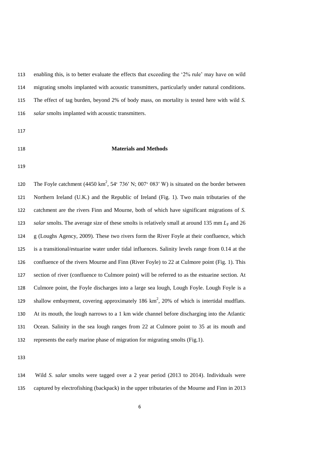enabling this, is to better evaluate the effects that exceeding the '2% rule' may have on wild migrating smolts implanted with acoustic transmitters, particularly under natural conditions. The effect of tag burden, beyond 2% of body mass, on mortality is tested here with wild *S. salar* smolts implanted with acoustic transmitters.

#### **Materials and Methods**

120 The Foyle catchment (4450 km<sup>2</sup>, 54° 736′ N; 007° 083′ W) is situated on the border between Northern Ireland (U.K.) and the Republic of Ireland (Fig. 1). Two main tributaries of the catchment are the rivers Finn and Mourne, both of which have significant migrations of *S. salar* smolts. The average size of these smolts is relatively small at around 135 mm  $L_F$  and 26 g (Loughs Agency, 2009). These two rivers form the River Foyle at their confluence, which is a transitional/estuarine water under tidal influences. Salinity levels range from 0.14 at the confluence of the rivers Mourne and Finn (River Foyle) to 22 at Culmore point (Fig. 1). This section of river (confluence to Culmore point) will be referred to as the estuarine section. At Culmore point, the Foyle discharges into a large sea lough, Lough Foyle. Lough Foyle is a 129 shallow embayment, covering approximately 186  $km^2$ , 20% of which is intertidal mudflats. At its mouth, the lough narrows to a 1 km wide channel before discharging into the Atlantic Ocean. Salinity in the sea lough ranges from 22 at Culmore point to 35 at its mouth and represents the early marine phase of migration for migrating smolts (Fig.1).

 Wild *S. salar* smolts were tagged over a 2 year period (2013 to 2014). Individuals were captured by electrofishing (backpack) in the upper tributaries of the Mourne and Finn in 2013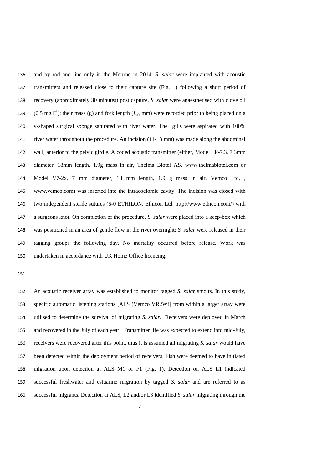and by rod and line only in the Mourne in 2014. *S. salar* were implanted with acoustic transmitters and released close to their capture site (Fig. 1) following a short period of recovery (approximately 30 minutes) post capture. *S. salar* were anaesthetised with clove oil 139 (0.5 mg l<sup>-1</sup>); their mass (g) and fork length ( $L_F$ , mm) were recorded prior to being placed on a v-shaped surgical sponge saturated with river water. The gills were aspirated with 100% river water throughout the procedure. An incision (11-13 mm) was made along the abdominal wall, anterior to the pelvic girdle. A coded acoustic transmitter (either, Model LP-7.3, 7.3mm diameter, 18mm length, 1.9g mass in air, Thelma Biotel AS, www.thelmabiotel.com or Model V7-2x, 7 mm diameter, 18 mm length, 1.9 g mass in air, Vemco Ltd, , www.vemco.com) was inserted into the intracoelomic cavity. The incision was closed with two independent sterile sutures (6-0 ETHILON, Ethicon Ltd, http://www.ethicon.com/) with a surgeons knot. On completion of the procedure, *S. salar* were placed into a keep-box which was positioned in an area of gentle flow in the river overnight; *S. salar* were released in their tagging groups the following day. No mortality occurred before release. Work was undertaken in accordance with UK Home Office licencing.

 An acoustic receiver array was established to monitor tagged *S. salar* smolts. In this study, specific automatic listening stations [ALS (Vemco VR2W)] from within a larger array were utilised to determine the survival of migrating *S. salar*. Receivers were deployed in March and recovered in the July of each year. Transmitter life was expected to extend into mid-July, receivers were recovered after this point, thus it is assumed all migrating *S. salar* would have been detected within the deployment period of receivers. Fish were deemed to have initiated migration upon detection at ALS M1 or F1 (Fig. 1). Detection on ALS L1 indicated successful freshwater and estuarine migration by tagged *S. salar* and are referred to as successful migrants. Detection at ALS, L2 and/or L3 identified *S. salar* migrating through the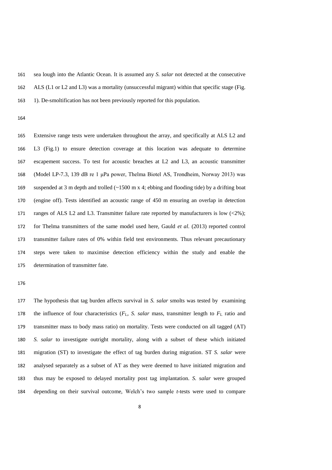sea lough into the Atlantic Ocean. It is assumed any *S. salar* not detected at the consecutive ALS (L1 or L2 and L3) was a mortality (unsuccessful migrant) within that specific stage (Fig. 1). De-smoltification has not been previously reported for this population.

 Extensive range tests were undertaken throughout the array, and specifically at ALS L2 and L3 (Fig.1) to ensure detection coverage at this location was adequate to determine escapement success. To test for acoustic breaches at L2 and L3, an acoustic transmitter (Model LP-7.3, 139 dB re 1 μPa power, Thelma Biotel AS, Trondheim, Norway 2013) was suspended at 3 m depth and trolled (~1500 m x 4; ebbing and flooding tide) by a drifting boat (engine off). Tests identified an acoustic range of 450 m ensuring an overlap in detection 171 ranges of ALS L2 and L3. Transmitter failure rate reported by manufacturers is low (<2%); for Thelma transmitters of the same model used here, Gauld *et al*. (2013) reported control transmitter failure rates of 0% within field test environments. Thus relevant precautionary steps were taken to maximise detection efficiency within the study and enable the determination of transmitter fate.

 The hypothesis that tag burden affects survival in *S. salar* smolts was tested by examining 178 the influence of four characteristics  $(F_L, S.$  salar mass, transmitter length to  $F_L$  ratio and transmitter mass to body mass ratio) on mortality. Tests were conducted on all tagged (AT) *S. salar* to investigate outright mortality, along with a subset of these which initiated migration (ST) to investigate the effect of tag burden during migration. ST *S. salar* were analysed separately as a subset of AT as they were deemed to have initiated migration and thus may be exposed to delayed mortality post tag implantation. *S. salar* were grouped depending on their survival outcome, Welch's two sample *t-*tests were used to compare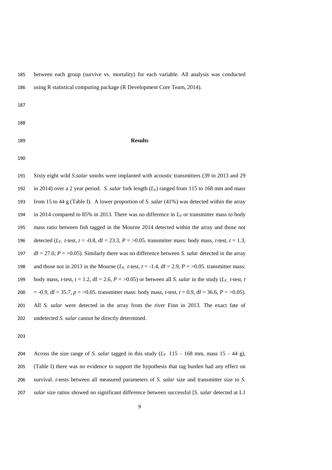between each group (survive vs. mortality) for each variable. All analysis was conducted using R statistical computing package (R Development Core Team, 2014).

- 
- 
- 

#### **Results**

 Sixty eight wild *S.salar* smolts were implanted with acoustic transmitters (39 in 2013 and 29 192 in 2014) over a 2 year period. *S. salar* fork length  $(L_F)$  ranged from 115 to 168 mm and mass from 15 to 44 g (Table I). A lower proportion of *S. salar* (41%) was detected within the array 194 in 2014 compared to 85% in 2013. There was no difference in  $L_F$  or transmitter mass to body mass ratio between fish tagged in the Mourne 2014 detected within the array and those not 196 detected ( $L_F$ , *t*-test, *t* = -0.8, df = 23.3, *P* = >0.05. transmitter mass: body mass, *t*-test, *t* = 1.3, 197 df = 27.0,  $P = >0.05$ ). Similarly there was no difference between *S. salar* detected in the array 198 and those not in 2013 in the Mourne  $(L_F, t\text{-test}, t = -1.4, df = 2.9, P = >0.05$ . transmitter mass: 199 body mass, *t*-test,  $t = 1.2$ , df = 2.6,  $P = >0.05$ ) or between all *S. salar* in the study ( $L_F$ , *t*-test, *t* 200 = -0.9, df = 35.7,  $p = >0.05$ . transmitter mass: body mass, *t*-test,  $t = 0.9$ , df = 36.6,  $P = >0.05$ ). All *S. salar* were detected in the array from the river Finn in 2013. The exact fate of undetected *S. salar* cannot be directly determined.

204 Across the size range of *S. salar* tagged in this study  $(L_F 115 - 168$  mm, mass  $15 - 44$  g), (Table I) there was no evidence to support the hypothesis that tag burden had any effect on survival. *t-*tests between all measured parameters of *S. salar* size and transmitter size to *S. salar* size ratios showed no significant difference between successful [*S. salar* detected at L1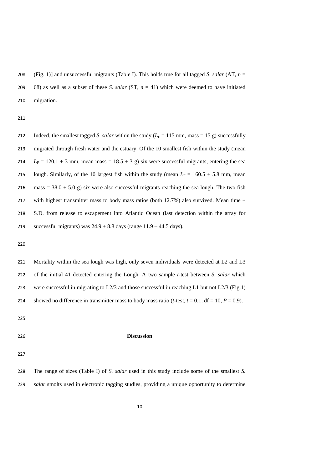(Fig. 1)] and unsuccessful migrants (Table I). This holds true for all tagged *S. salar* (AT, *n* = 68) as well as a subset of these *S. salar* (ST, *n* = 41) which were deemed to have initiated migration.

212 Indeed, the smallest tagged *S. salar* within the study ( $L_F = 115$  mm, mass = 15 g) successfully migrated through fresh water and the estuary. Of the 10 smallest fish within the study (mean 214  $L_F = 120.1 \pm 3$  mm, mean mass = 18.5  $\pm$  3 g) six were successful migrants, entering the sea 215 lough. Similarly, of the 10 largest fish within the study (mean  $L_F = 160.5 \pm 5.8$  mm, mean 216 mass =  $38.0 \pm 5.0$  g) six were also successful migrants reaching the sea lough. The two fish 217 with highest transmitter mass to body mass ratios (both 12.7%) also survived. Mean time  $\pm$  S.D. from release to escapement into Atlantic Ocean (last detection within the array for 219 successful migrants) was  $24.9 \pm 8.8$  days (range  $11.9 - 44.5$  days).

 Mortality within the sea lough was high, only seven individuals were detected at L2 and L3 of the initial 41 detected entering the Lough. A two sample *t*-test between *S. salar* which were successful in migrating to L2/3 and those successful in reaching L1 but not L2/3 (Fig.1) 224 showed no difference in transmitter mass to body mass ratio (*t*-test,  $t = 0.1$ ,  $df = 10$ ,  $P = 0.9$ ).

#### **Discussion**

| 228 | The range of sizes (Table I) of S. salar used in this study include some of the smallest S.  |  |  |
|-----|----------------------------------------------------------------------------------------------|--|--|
| 229 | salar smolts used in electronic tagging studies, providing a unique opportunity to determine |  |  |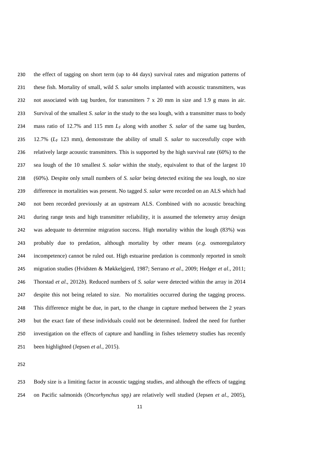the effect of tagging on short term (up to 44 days) survival rates and migration patterns of these fish. Mortality of small, wild *S. salar* smolts implanted with acoustic transmitters, was 232 not associated with tag burden, for transmitters  $7 \times 20$  mm in size and 1.9 g mass in air. Survival of the smallest *S. salar* in the study to the sea lough, with a transmitter mass to body 234 mass ratio of 12.7% and 115 mm  $L_F$  along with another *S. salar* of the same tag burden, 235 12.7% ( $L_F$  123 mm), demonstrate the ability of small *S. salar* to successfully cope with relatively large acoustic transmitters. This is supported by the high survival rate (60%) to the sea lough of the 10 smallest *S. salar* within the study, equivalent to that of the largest 10 (60%). Despite only small numbers of *S. salar* being detected exiting the sea lough, no size difference in mortalities was present. No tagged *S. salar* were recorded on an ALS which had not been recorded previously at an upstream ALS. Combined with no acoustic breaching during range tests and high transmitter reliability, it is assumed the telemetry array design was adequate to determine migration success. High mortality within the lough (83%) was probably due to predation, although mortality by other means (*e.g.* osmoregulatory incompetence) cannot be ruled out. High estuarine predation is commonly reported in smolt migration studies (Hvidsten & Møkkelgjerd, 1987; Serrano *et al*., 2009; Hedger *et al*., 2011; Thorstad *et al*., 2012*b*). Reduced numbers of *S. salar* were detected within the array in 2014 despite this not being related to size. No mortalities occurred during the tagging process. This difference might be due, in part, to the change in capture method between the 2 years but the exact fate of these individuals could not be determined. Indeed the need for further investigation on the effects of capture and handling in fishes telemetry studies has recently been highlighted (Jepsen *et al*., 2015).

 Body size is a limiting factor in acoustic tagging studies, and although the effects of tagging on Pacific salmonids (*Oncorhynchus* spp*)* are relatively well studied (Jepsen *et al*., 2005),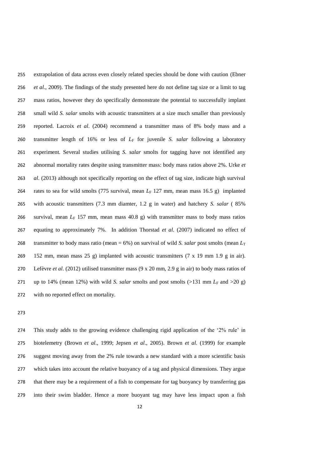extrapolation of data across even closely related species should be done with caution (Ebner *et al*., 2009). The findings of the study presented here do not define tag size or a limit to tag mass ratios, however they do specifically demonstrate the potential to successfully implant small wild *S. salar* smolts with acoustic transmitters at a size much smaller than previously reported. Lacroix *et al*. (2004) recommend a transmitter mass of 8% body mass and a transmitter length of 16% or less of *L*F for juvenile *S. salar* following a laboratory experiment. Several studies utilising *S. salar* smolts for tagging have not identified any abnormal mortality rates despite using transmitter mass: body mass ratios above 2%. Urke *et al*. (2013) although not specifically reporting on the effect of tag size, indicate high survival 264 rates to sea for wild smolts (775 survival, mean *L<sub>F</sub>* 127 mm, mean mass 16.5 g) implanted with acoustic transmitters (7.3 mm diamter, 1.2 g in water) and hatchery *S. salar* ( 85% 266 survival, mean  $L_F$  157 mm, mean mass 40.8 g) with transmitter mass to body mass ratios equating to approximately 7%. In addition Thorstad *et al*. (2007) indicated no effect of 268 transmitter to body mass ratio (mean  $= 6\%$ ) on survival of wild *S. salar* post smolts (mean  $L_T$  152 mm, mean mass 25 g) implanted with acoustic transmitters (7 x 19 mm 1.9 g in air). Lefèvre *et al*. (2012) utilised transmitter mass (9 x 20 mm, 2.9 g in air) to body mass ratios of 271 up to 14% (mean 12%) with wild *S. salar* smolts and post smolts (>131 mm  $L_F$  and >20 g) with no reported effect on mortality.

 This study adds to the growing evidence challenging rigid application of the '2% rule' in biotelemetry (Brown *et al*., 1999; Jepsen *et al*., 2005). Brown *et al*. (1999) for example suggest moving away from the 2% rule towards a new standard with a more scientific basis which takes into account the relative buoyancy of a tag and physical dimensions. They argue that there may be a requirement of a fish to compensate for tag buoyancy by transferring gas into their swim bladder. Hence a more buoyant tag may have less impact upon a fish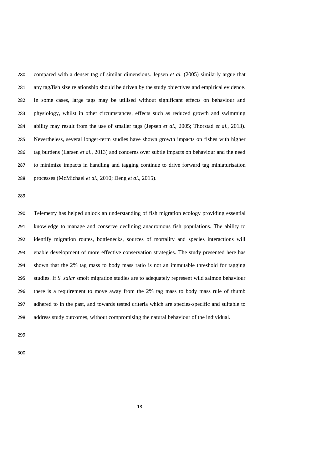compared with a denser tag of similar dimensions. Jepsen *et al.* (2005) similarly argue that any tag/fish size relationship should be driven by the study objectives and empirical evidence. In some cases, large tags may be utilised without significant effects on behaviour and physiology, whilst in other circumstances, effects such as reduced growth and swimming ability may result from the use of smaller tags (Jepsen *et al*., 2005; Thorstad *et al*., 2013). Nevertheless, several longer-term studies have shown growth impacts on fishes with higher tag burdens (Larsen *et al*., 2013) and concerns over subtle impacts on behaviour and the need to minimize impacts in handling and tagging continue to drive forward tag miniaturisation processes (McMichael *et al*., 2010; Deng *et al*., 2015).

 Telemetry has helped unlock an understanding of fish migration ecology providing essential knowledge to manage and conserve declining anadromous fish populations. The ability to identify migration routes, bottlenecks, sources of mortality and species interactions will enable development of more effective conservation strategies. The study presented here has shown that the 2% tag mass to body mass ratio is not an immutable threshold for tagging studies. If *S. salar* smolt migration studies are to adequately represent wild salmon behaviour there is a requirement to move away from the 2% tag mass to body mass rule of thumb adhered to in the past, and towards tested criteria which are species-specific and suitable to address study outcomes, without compromising the natural behaviour of the individual.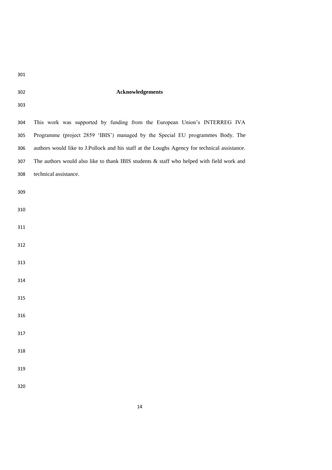# **Acknowledgements**

| 302 | <b>Acknowledgements</b>                                                                      |
|-----|----------------------------------------------------------------------------------------------|
| 303 |                                                                                              |
| 304 | This work was supported by funding from the European Union's INTERREG IVA                    |
| 305 | Programme (project 2859 'IBIS') managed by the Special EU programmes Body. The               |
| 306 | authors would like to J.Pollock and his staff at the Loughs Agency for technical assistance. |
| 307 | The authors would also like to thank IBIS students $\&$ staff who helped with field work and |
| 308 | technical assistance.                                                                        |
| 309 |                                                                                              |
| 310 |                                                                                              |
| 311 |                                                                                              |
| 312 |                                                                                              |
| 313 |                                                                                              |
| 314 |                                                                                              |
| 315 |                                                                                              |
| 316 |                                                                                              |
| 317 |                                                                                              |
| 318 |                                                                                              |
| 319 |                                                                                              |
|     |                                                                                              |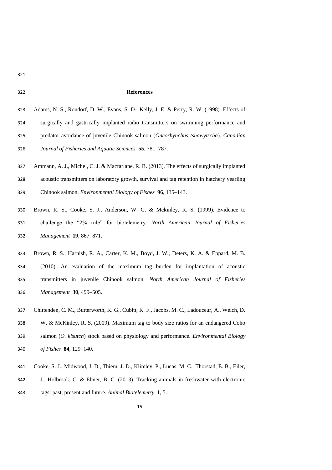#### **References**

| 323 | Adams, N. S., Rondorf, D. W., Evans, S. D., Kelly, J. E. & Perry, R. W. (1998). Effects of |
|-----|--------------------------------------------------------------------------------------------|
| 324 | surgically and gastrically implanted radio transmitters on swimming performance and        |
| 325 | predator avoidance of juvenile Chinook salmon (Oncorhynchus tshawytscha). Canadian         |
| 326 | Journal of Fisheries and Aquatic Sciences 55, 781–787.                                     |

- Ammann, A. J., Michel, C. J. & Macfarlane, R. B. (2013). The effects of surgically implanted acoustic transmitters on laboratory growth, survival and tag retention in hatchery yearling Chinook salmon. *Environmental Biology of Fishes* **96**, 135–143.
- Brown, R. S., Cooke, S. J., Anderson, W. G. & Mckinley, R. S. (1999). Evidence to challenge the "2% rule" for biotelemetry. *North American Journal of Fisheries Management* **19**, 867–871.
- Brown, R. S., Harnish, R. A., Carter, K. M., Boyd, J. W., Deters, K. A. & Eppard, M. B. (2010). An evaluation of the maximum tag burden for implantation of acoustic transmitters in juvenile Chinook salmon. *North American Journal of Fisheries Management* **30**, 499–505.
- Chittenden, C. M., Butterworth, K. G., Cubitt, K. F., Jacobs, M. C., Ladouceur, A., Welch, D. W. & McKinley, R. S. (2009). Maximum tag to body size ratios for an endangered Coho salmon (*O. kisutch*) stock based on physiology and performance. *Environmental Biology of Fishes* **84**, 129–140.
- Cooke, S. J., Midwood, J. D., Thiem, J. D., Klimley, P., Lucas, M. C., Thorstad, E. B., Eiler,
- J., Holbrook, C. & Ebner, B. C. (2013). Tracking animals in freshwater with electronic
- tags: past, present and future. *Animal Biotelemetry* **1**, 5.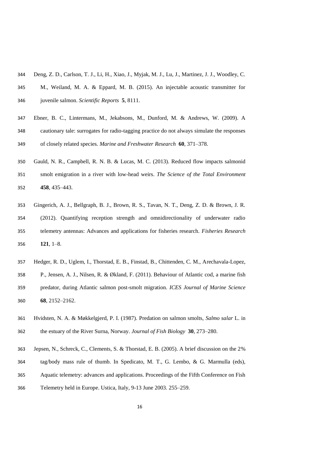- Deng, Z. D., Carlson, T. J., Li, H., Xiao, J., Myjak, M. J., Lu, J., Martinez, J. J., Woodley, C.
- M., Weiland, M. A. & Eppard, M. B. (2015). An injectable acoustic transmitter for juvenile salmon. *Scientific Reports* **5**, 8111.
- Ebner, B. C., Lintermans, M., Jekabsons, M., Dunford, M. & Andrews, W. (2009). A cautionary tale: surrogates for radio-tagging practice do not always simulate the responses of closely related species. *Marine and Freshwater Research* **60**, 371–378.
- Gauld, N. R., Campbell, R. N. B. & Lucas, M. C. (2013). Reduced flow impacts salmonid smolt emigration in a river with low-head weirs. *The Science of the Total Environment* **458**, 435–443.
- Gingerich, A. J., Bellgraph, B. J., Brown, R. S., Tavan, N. T., Deng, Z. D. & Brown, J. R. (2012). Quantifying reception strength and omnidirectionality of underwater radio telemetry antennas: Advances and applications for fisheries research. *Fisheries Research* **121**, 1–8.
- Hedger, R. D., Uglem, I., Thorstad, E. B., Finstad, B., Chittenden, C. M., Arechavala-Lopez, P., Jensen, A. J., Nilsen, R. & Økland, F. (2011). Behaviour of Atlantic cod, a marine fish predator, during Atlantic salmon post-smolt migration. *ICES Journal of Marine Science* **68**, 2152–2162.
- Hvidsten, N. A. & Møkkelgjerd, P. I. (1987). Predation on salmon smolts, *Salmo salar* L. in the estuary of the River Surna, Norway. *Journal of Fish Biology* **30**, 273–280.
- Jepsen, N., Schreck, C., Clements, S. & Thorstad, E. B. (2005). A brief discussion on the 2%
- tag/body mass rule of thumb. In Spedicato, M. T., G. Lembo, & G. Marmulla (eds),
- Aquatic telemetry: advances and applications. Proceedings of the Fifth Conference on Fish
- Telemetry held in Europe. Ustica, Italy, 9-13 June 2003. 255–259.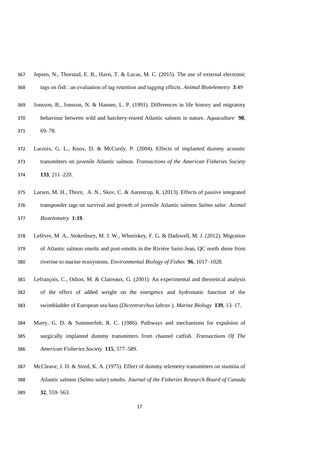| 30 / | Jepsen, IN., Tholstad, E. D., Havn, T. & Lucas, M. C. (2013). The use of external electronic |
|------|----------------------------------------------------------------------------------------------|
| 368  | tags on fish : an evaluation of tag retention and tagging effects. Animal Biotelemetry 3:49  |
| 369  | Jonsson, B., Jonsson, N. & Hansen, L. P. (1991). Differences in life history and migratory   |
| 370  | behaviour between wild and hatchery-reared Atlantic salmon in nature. Aquaculture 98,        |
| 371  | $69 - 78$ .                                                                                  |
| 372  | Lacroix, G. L., Knox, D. & McCurdy, P. (2004). Effects of implanted dummy acoustic           |

 $\overline{367}$  Jepsen, N., Thorstad, E. B., Havn, T. & Lucas, M. C. (2015). The use of external electronic

- transmitters on juvenile Atlantic salmon. *Transactions of the American Fisheries Society* **133**, 211–220.
- Larsen, M. H., Thorn, A. N., Skov, C. & Aarestrup, K. (2013). Effects of passive integrated transponder tags on survival and growth of juvenile Atlantic salmon *Salmo salar*. *Animal Biotelemetry* **1:19**.
- Lefèvre, M. A., Stokesbury, M. J. W., Whoriskey, F. G. & Dadswell, M. J. (2012). Migration of Atlantic salmon smolts and post-smolts in the Rivière Saint-Jean, QC north shore from riverine to marine ecosystems. *Environmental Biology of Fishes* **96**, 1017–1028.
- Lefrançois, C., Odion, M. & Claireaux, G. (2001). An experimental and theoretical analysis of the effect of added weight on the energetics and hydrostatic function of the swimbladder of European sea bass (*Dicentrarchus labrax* ). *Marine Biology* **139**, 13–17.
- Marty, G. D. & Summerfelt, R. C. (1986). Pathways and mechanisms for expulsion of surgically implanted dummy transmitters from channel catfish. *Transactions Of The American Fisheries Society* **115**, 577–589.
- McCleave, J. D. & Stred, K. A. (1975). Effect of dummy telemetry transmitters on stamina of Atlantic salmon (*Salmo salar*) smolts. *Journal of the Fisheries Research Board of Canada* **32**, 559–563.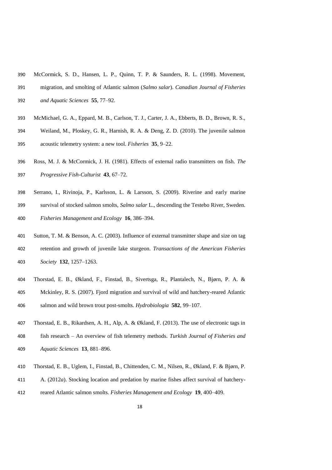- McCormick, S. D., Hansen, L. P., Quinn, T. P. & Saunders, R. L. (1998). Movement,
- migration, and smolting of Atlantic salmon (*Salmo salar*). *Canadian Journal of Fisheries and Aquatic Sciences* **55**, 77–92.
- McMichael, G. A., Eppard, M. B., Carlson, T. J., Carter, J. A., Ebberts, B. D., Brown, R. S.,
- Weiland, M., Ploskey, G. R., Harnish, R. A. & Deng, Z. D. (2010). The juvenile salmon acoustic telemetry system: a new tool. *Fisheries* **35**, 9–22.
- Ross, M. J. & McCormick, J. H. (1981). Effects of external radio transmitters on fish. *The Progressive Fish-Culturist* **43**, 67–72.
- Serrano, I., Rivinoja, P., Karlsson, L. & Larsson, S. (2009). Riverine and early marine
- survival of stocked salmon smolts, *Salmo salar* L., descending the Testebo River, Sweden. *Fisheries Management and Ecology* **16**, 386–394.
- Sutton, T. M. & Benson, A. C. (2003). Influence of external transmitter shape and size on tag retention and growth of juvenile lake sturgeon. *Transactions of the American Fisheries Society* **132**, 1257–1263.
- Thorstad, E. B., Økland, F., Finstad, B., Sivertsga, R., Plantalech, N., Bjørn, P. A. & Mckinley, R. S. (2007). Fjord migration and survival of wild and hatchery-reared Atlantic salmon and wild brown trout post-smolts. *Hydrobiologia* **582**, 99–107.
- Thorstad, E. B., Rikardsen, A. H., Alp, A. & Økland, F. (2013). The use of electronic tags in fish research – An overview of fish telemetry methods. *Turkish Journal of Fisheries and Aquatic Sciences* **13**, 881–896.
- Thorstad, E. B., Uglem, I., Finstad, B., Chittenden, C. M., Nilsen, R., Økland, F. & Bjørn, P.
- A. (2012*a*). Stocking location and predation by marine fishes affect survival of hatchery-
- reared Atlantic salmon smolts. *Fisheries Management and Ecology* **19**, 400–409.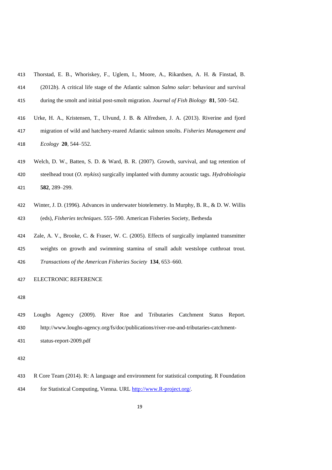| 413 | Thorstad, E. B., Whoriskey, F., Uglem, I., Moore, A., Rikardsen, A. H. & Finstad, B.      |
|-----|-------------------------------------------------------------------------------------------|
| 414 | (2012b). A critical life stage of the Atlantic salmon Salmo salar: behaviour and survival |
| 415 | during the smolt and initial post-smolt migration. Journal of Fish Biology 81, 500–542.   |
| 416 | Urke, H. A., Kristensen, T., Ulvund, J. B. & Alfredsen, J. A. (2013). Riverine and fjord  |
| 417 | migration of wild and hatchery-reared Atlantic salmon smolts. Fisheries Management and    |
| 418 | $Ecology$ <b>20</b> , 544–552.                                                            |
| 419 | Welch, D. W., Batten, S. D. & Ward, B. R. (2007). Growth, survival, and tag retention of  |
| 420 | steelhead trout (O. mykiss) surgically implanted with dummy acoustic tags. Hydrobiologia  |
| 421 | 582, 289–299.                                                                             |
|     |                                                                                           |

- Winter, J. D. (1996). Advances in underwater biotelemetry. In Murphy, B. R., & D. W. Willis (eds), *Fisheries techniques*. 555–590. American Fisheries Society, Bethesda
- Zale, A. V., Brooke, C. & Fraser, W. C. (2005). Effects of surgically implanted transmitter weights on growth and swimming stamina of small adult westslope cutthroat trout. *Transactions of the American Fisheries Society* **134**, 653–660.

### ELECTRONIC REFERENCE

- Loughs Agency (2009). River Roe and Tributaries Catchment Status Report.
- http://www.loughs-agency.org/fs/doc/publications/river-roe-and-tributaries-catchment-
- status-report-2009.pdf

 R Core Team (2014). R: A language and environment for statistical computing. R Foundation for Statistical Computing, Vienna. URL [http://www.R-project.org/.](http://www.r-project.org/)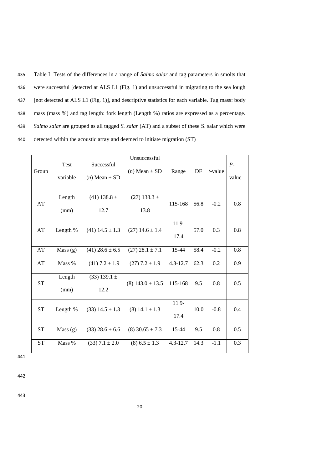435 Table I: Tests of the differences in a range of *Salmo salar* and tag parameters in smolts that 436 were successful [detected at ALS L1 (Fig. 1) and unsuccessful in migrating to the sea lough 437 [not detected at ALS L1 (Fig. 1)], and descriptive statistics for each variable. Tag mass: body 438 mass (mass %) and tag length: fork length (Length %) ratios are expressed as a percentage. 439 *Salmo salar* are grouped as all tagged *S. salar* (AT) and a subset of these S. salar which were 440 detected within the acoustic array and deemed to initiate migration (ST)

| Group                  | <b>Test</b><br>variable | Successful<br>$(n)$ Mean $\pm$ SD | Unsuccessful<br>$(n)$ Mean $\pm$ SD | Range            | DF   | $t$ -value | $P-$<br>value |
|------------------------|-------------------------|-----------------------------------|-------------------------------------|------------------|------|------------|---------------|
| AT                     | Length<br>(mm)          | $(41)$ 138.8 $\pm$<br>12.7        | $(27)$ 138.3 $\pm$<br>13.8          | 115-168          | 56.8 | $-0.2$     | 0.8           |
| AT                     | Length %                | $(41)$ 14.5 $\pm$ 1.3             | $(27)$ 14.6 $\pm$ 1.4               | $11.9 -$<br>17.4 | 57.0 | 0.3        | 0.8           |
| $\mathbf{A}\mathbf{T}$ | Mass $(g)$              | $(41)$ 28.6 $\pm$ 6.5             | $(27)$ 28.1 $\pm$ 7.1               | 15-44            | 58.4 | $-0.2$     | 0.8           |
| AT                     | Mass %                  | $(41)$ 7.2 $\pm$ 1.9              | $(27)$ 7.2 $\pm$ 1.9                | $4.3 - 12.7$     | 62.3 | 0.2        | 0.9           |
| <b>ST</b>              | Length<br>(mm)          | $(33)$ 139.1 $\pm$<br>12.2        | $(8)$ 143.0 $\pm$ 13.5              | 115-168          | 9.5  | 0.8        | 0.5           |
| <b>ST</b>              | Length %                | $(33)$ 14.5 $\pm$ 1.3             | $(8)$ 14.1 $\pm$ 1.3                | $11.9 -$<br>17.4 | 10.0 | $-0.8$     | 0.4           |
| <b>ST</b>              | Mass $(g)$              | $(33)$ 28.6 $\pm$ 6.6             | $(8)$ 30.65 $\pm$ 7.3               | 15-44            | 9.5  | 0.8        | 0.5           |
| <b>ST</b>              | Mass %                  | $(33)$ 7.1 $\pm$ 2.0              | $(8)$ 6.5 $\pm$ 1.3                 | $4.3 - 12.7$     | 14.3 | $-1.1$     | 0.3           |

442